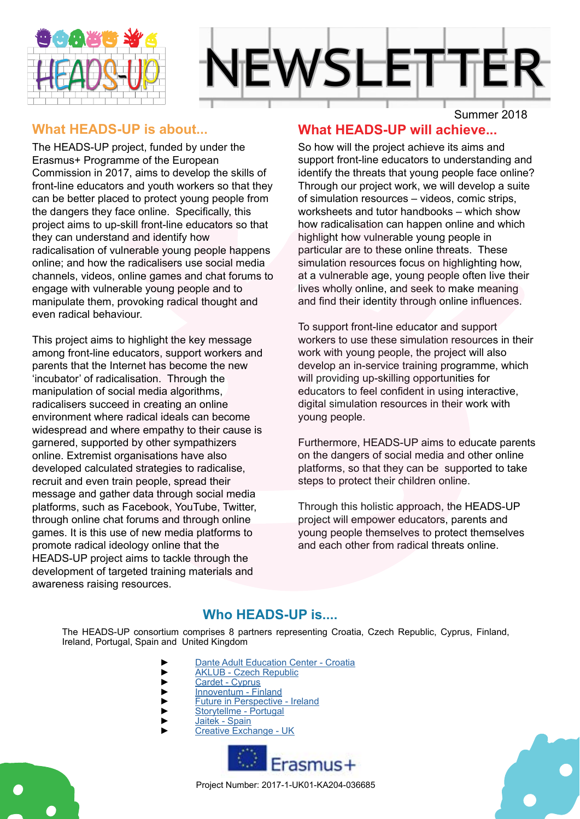



#### **What HEADS-UP is about...**

The HEADS-UP project, funded by under the Erasmus+ Programme of the European Commission in 2017, aims to develop the skills of front-line educators and youth workers so that they can be better placed to protect young people from the dangers they face online. Specifically, this project aims to up-skill front-line educators so that they can understand and identify how radicalisation of vulnerable young people happens online; and how the radicalisers use social media channels, videos, online games and chat forums to engage with vulnerable young people and to manipulate them, provoking radical thought and even radical behaviour.

This project aims to highlight the key message among front-line educators, support workers and parents that the Internet has become the new 'incubator' of radicalisation. Through the manipulation of social media algorithms, radicalisers succeed in creating an online environment where radical ideals can become widespread and where empathy to their cause is garnered, supported by other sympathizers online. Extremist organisations have also developed calculated strategies to radicalise, recruit and even train people, spread their message and gather data through social media platforms, such as Facebook, YouTube, Twitter, through online chat forums and through online games. It is this use of new media platforms to promote radical ideology online that the HEADS-UP project aims to tackle through the development of targeted training materials and awareness raising resources.

### **What HEADS-UP will achieve...**

So how will the project achieve its aims and support front-line educators to understanding and identify the threats that young people face online? Through our project work, we will develop a suite of simulation resources – videos, comic strips, worksheets and tutor handbooks – which show how radicalisation can happen online and which highlight how vulnerable young people in particular are to these online threats. These simulation resources focus on highlighting how, at a vulnerable age, young people often live their lives wholly online, and seek to make meaning and find their identity through online influences.

To support front-line educator and support workers to use these simulation resources in their work with young people, the project will also develop an in-service training programme, which will providing up-skilling opportunities for educators to feel confident in using interactive, digital simulation resources in their work with young people.

Furthermore, HEADS-UP aims to educate parents on the dangers of social media and other online platforms, so that they can be supported to take steps to protect their children online.

Through this holistic approach, the HEADS-UP project will empower educators, parents and young people themselves to protect themselves and each other from radical threats online.

#### **Who HEADS-UP is....**

The HEADS-UP consortium comprises 8 partners representing Croatia, Czech Republic, Cyprus, Finland, Ireland, Portugal, Spain and United Kingdom

- ► [Dante Adult Education Center Croatia](http://www.dante-ri.hr/)
- ► [AKLUB Czech Republic](https://www.aklub.org/en/)
- ► [Cardet Cyprus](https://www.cardet.org/)<br>► Thnoventum Fir
- ► [Innoventum Finland](http://www.innoventum.fi/)<br>
Future in Perspective<br>
Storytellme Portuga
- ► [Future in Perspective Ireland](https://www.fipl.eu/)
- ► [Storytellme Portugal](https://www.storytellme.store/) [Jaitek - Spain](http://www.jaitek.net/)
- ► [Creative Exchange UK](http://creativeexchange.org/)





Project Number: 2017-1-UK01-KA204-036685